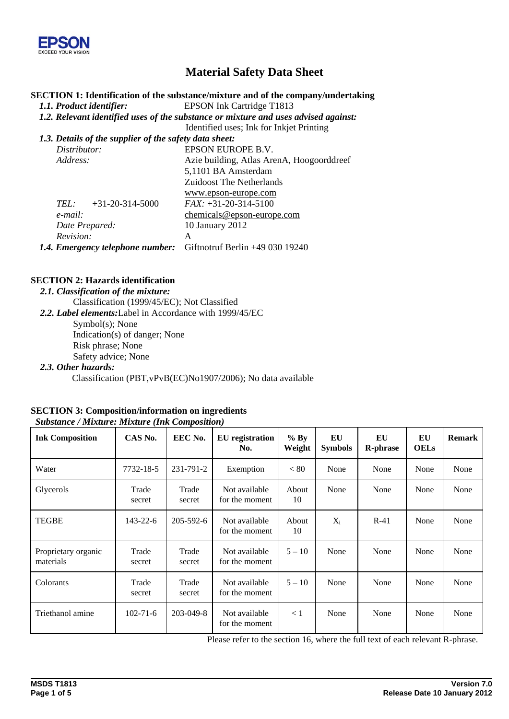

# **Material Safety Data Sheet**

#### **SECTION 1: Identification of the substance/mixture and of the company/undertaking**

*1.1. Product identifier:* EPSON Ink Cartridge T1813

*1.2. Relevant identified uses of the substance or mixture and uses advised against:* 

Identified uses; Ink for Inkjet Printing

*1.3. Details of the supplier of the safety data sheet: Distributor:* EPSON EUROPE B.V. *Address:* Azie building, Atlas ArenA, Hoogoorddreef 5,1101 BA Amsterdam Zuidoost The Netherlands www.epson-europe.com *TEL:* +31-20-314-5000 *FAX:* +31-20-314-5100

| TEL:<br>$+31-20-314-5000$                                               | $FAX: +31-20-314-5100$       |
|-------------------------------------------------------------------------|------------------------------|
| e-mail:                                                                 | $chemicals@epson-europe.com$ |
| Date Prepared:                                                          | 10 January 2012              |
| Revision:                                                               |                              |
| <b>1.4. Emergency telephone number:</b> Giftnotruf Berlin +49 030 19240 |                              |

### **SECTION 2: Hazards identification**

*2.1. Classification of the mixture:* 

Classification (1999/45/EC); Not Classified

*2.2. Label elements:*Label in Accordance with 1999/45/EC

Symbol(s); None

Indication(s) of danger; None

Risk phrase; None

Safety advice; None

#### *2.3. Other hazards:*

Classification (PBT,vPvB(EC)No1907/2006); No data available

#### **SECTION 3: Composition/information on ingredients**   *Substance / Mixture: Mixture (Ink Composition)*

| <b>Ink Composition</b>           | CAS No.         | EEC No.         | <b>EU</b> registration<br>No.   | $%$ By<br>Weight | EU<br><b>Symbols</b> | EU<br><b>R-phrase</b> | EU<br><b>OELs</b> | <b>Remark</b> |
|----------------------------------|-----------------|-----------------|---------------------------------|------------------|----------------------|-----------------------|-------------------|---------------|
| Water                            | 7732-18-5       | 231-791-2       | Exemption                       | < 80             | None                 | None                  | None              | None          |
| Glycerols                        | Trade<br>secret | Trade<br>secret | Not available<br>for the moment | About<br>10      | None                 | None                  | None              | None          |
| <b>TEGBE</b>                     | $143 - 22 - 6$  | 205-592-6       | Not available<br>for the moment | About<br>10      | $X_i$                | $R-41$                | None              | None          |
| Proprietary organic<br>materials | Trade<br>secret | Trade<br>secret | Not available<br>for the moment | $5 - 10$         | None                 | None                  | None              | None          |
| Colorants                        | Trade<br>secret | Trade<br>secret | Not available<br>for the moment | $5 - 10$         | None                 | None                  | None              | None          |
| Triethanol amine                 | $102 - 71 - 6$  | 203-049-8       | Not available<br>for the moment | $\leq 1$         | None                 | None                  | None              | None          |

Please refer to the section 16, where the full text of each relevant R-phrase.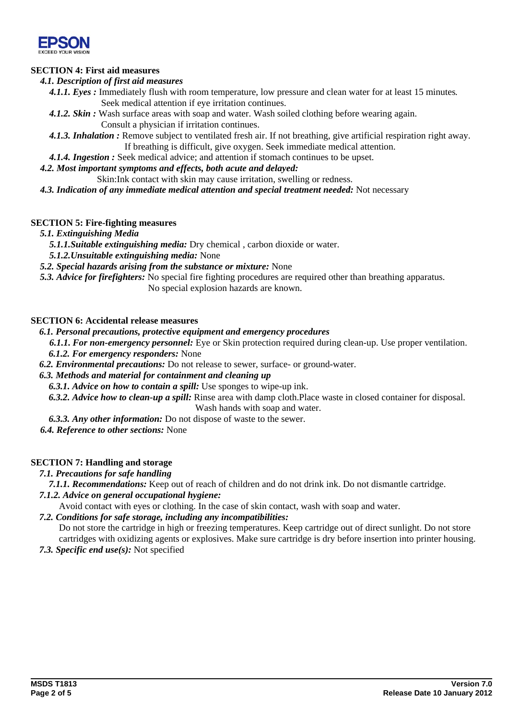

### **SECTION 4: First aid measures**

#### *4.1. Description of first aid measures*

*4.1.1. Eyes :* Immediately flush with room temperature, low pressure and clean water for at least 15 minutes*.*  Seek medical attention if eye irritation continues.

- *4.1.2. Skin :* Wash surface areas with soap and water. Wash soiled clothing before wearing again. Consult a physician if irritation continues.
- *4.1.3. Inhalation :* Remove subject to ventilated fresh air. If not breathing, give artificial respiration right away. If breathing is difficult, give oxygen. Seek immediate medical attention.
- *4.1.4. Ingestion :* Seek medical advice; and attention if stomach continues to be upset.

*4.2. Most important symptoms and effects, both acute and delayed:*

Skin:Ink contact with skin may cause irritation, swelling or redness.

*4.3. Indication of any immediate medical attention and special treatment needed:* Not necessary

### **SECTION 5: Fire-fighting measures**

- *5.1. Extinguishing Media* 
	- *5.1.1.Suitable extinguishing media:* Dry chemical , carbon dioxide or water.
- *5.1.2.Unsuitable extinguishing media:* None
- *5.2. Special hazards arising from the substance or mixture:* None
- *5.3. Advice for firefighters:* No special fire fighting procedures are required other than breathing apparatus.
	- No special explosion hazards are known.

### **SECTION 6: Accidental release measures**

#### *6.1. Personal precautions, protective equipment and emergency procedures*

- *6.1.1. For non-emergency personnel:* Eye or Skin protection required during clean-up. Use proper ventilation. *6.1.2. For emergency responders:* None
- *6.2. Environmental precautions:* Do not release to sewer, surface- or ground-water.

#### *6.3. Methods and material for containment and cleaning up*

- *6.3.1. Advice on how to contain a spill:* Use sponges to wipe-up ink.
- *6.3.2. Advice how to clean-up a spill:* Rinse area with damp cloth.Place waste in closed container for disposal. Wash hands with soap and water.
- *6.3.3. Any other information:* Do not dispose of waste to the sewer.

*6.4. Reference to other sections:* None

### **SECTION 7: Handling and storage**

### *7.1. Precautions for safe handling*

- *7.1.1. Recommendations:* Keep out of reach of children and do not drink ink. Do not dismantle cartridge.
- *7.1.2. Advice on general occupational hygiene:*
- Avoid contact with eyes or clothing. In the case of skin contact, wash with soap and water.
- *7.2. Conditions for safe storage, including any incompatibilities:*

Do not store the cartridge in high or freezing temperatures. Keep cartridge out of direct sunlight. Do not store cartridges with oxidizing agents or explosives. Make sure cartridge is dry before insertion into printer housing.

*7.3. Specific end use(s):* Not specified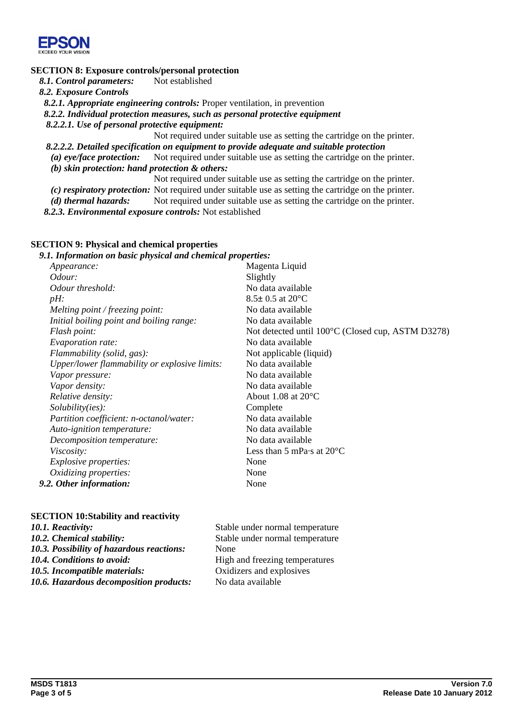

### **SECTION 8: Exposure controls/personal protection**

8.1. *Control parameters:* Not established

*8.2. Exposure Controls* 

*8.2.1. Appropriate engineering controls:* Proper ventilation, in prevention

*8.2.2. Individual protection measures, such as personal protective equipment* 

*8.2.2.1. Use of personal protective equipment:* 

Not required under suitable use as setting the cartridge on the printer.

*8.2.2.2. Detailed specification on equipment to provide adequate and suitable protection* 

*(a) eye/face protection:* Not required under suitable use as setting the cartridge on the printer. *(b) skin protection: hand protection & others:* 

Not required under suitable use as setting the cartridge on the printer.

*(c) respiratory protection:* Not required under suitable use as setting the cartridge on the printer. *(d) thermal hazards:* Not required under suitable use as setting the cartridge on the printer.

*8.2.3. Environmental exposure controls:* Not established

### **SECTION 9: Physical and chemical properties**

#### *9.1. Information on basic physical and chemical properties:*

| <i>Appearance:</i>                            | Magenta Liquid                                    |
|-----------------------------------------------|---------------------------------------------------|
| Odour:                                        | Slightly                                          |
| Odour threshold:                              | No data available                                 |
| $pH$ :                                        | $8.5 \pm 0.5$ at $20^{\circ}$ C                   |
| Melting point / freezing point:               | No data available                                 |
| Initial boiling point and boiling range:      | No data available                                 |
| Flash point:                                  | Not detected until 100°C (Closed cup, ASTM D3278) |
| <i>Evaporation rate:</i>                      | No data available                                 |
| Flammability (solid, gas):                    | Not applicable (liquid)                           |
| Upper/lower flammability or explosive limits: | No data available                                 |
| Vapor pressure:                               | No data available                                 |
| Vapor density:                                | No data available                                 |
| Relative density:                             | About 1.08 at $20^{\circ}$ C                      |
| Solubility(ies):                              | Complete                                          |
| Partition coefficient: n-octanol/water:       | No data available                                 |
| Auto-ignition temperature:                    | No data available                                 |
| Decomposition temperature:                    | No data available                                 |
| <i>Viscosity:</i>                             | Less than 5 mPa $\cdot$ s at 20 $\rm ^{\circ}C$   |
| <i>Explosive properties:</i>                  | None                                              |
| Oxidizing properties:                         | None                                              |
| 9.2. Other information:                       | None                                              |

#### **SECTION 10:Stability and reactivity**

| 10.1. Reactivity:                                | Stable under normal temperature |
|--------------------------------------------------|---------------------------------|
| 10.2. Chemical stability:                        | Stable under normal temperature |
| <b>10.3. Possibility of hazardous reactions:</b> | None                            |
| <b>10.4. Conditions to avoid:</b>                | High and freezing temperatures  |
| 10.5. Incompatible materials:                    | Oxidizers and explosives        |
| 10.6. Hazardous decomposition products:          | No data available               |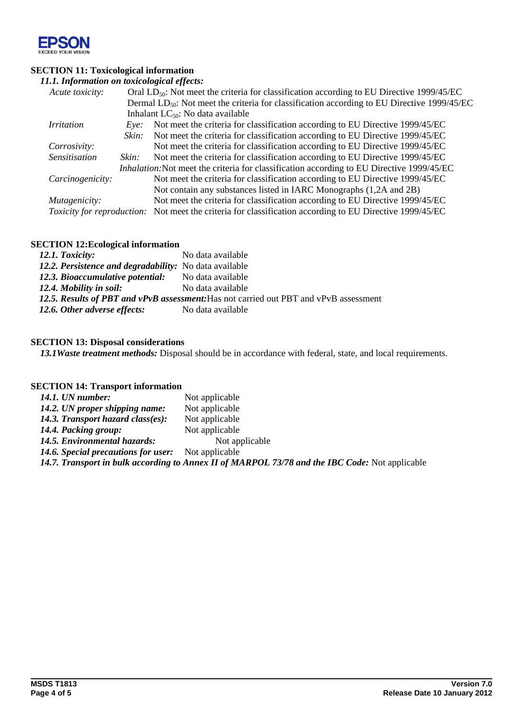

## **SECTION 11: Toxicological information**

| 11.1. Information on toxicological effects: |       |                                                                                                         |  |  |
|---------------------------------------------|-------|---------------------------------------------------------------------------------------------------------|--|--|
| Acute toxicity:                             |       | Oral $LD_{50}$ : Not meet the criteria for classification according to EU Directive 1999/45/EC          |  |  |
|                                             |       | Dermal LD <sub>50</sub> : Not meet the criteria for classification according to EU Directive 1999/45/EC |  |  |
|                                             |       | Inhalant $LC_{50}$ : No data available                                                                  |  |  |
| <i>Irritation</i>                           | Eve:  | Not meet the criteria for classification according to EU Directive 1999/45/EC                           |  |  |
|                                             | Skin: | Not meet the criteria for classification according to EU Directive 1999/45/EC                           |  |  |
| Corrosivity:                                |       | Not meet the criteria for classification according to EU Directive 1999/45/EC                           |  |  |
| <b>Sensitisation</b>                        | Skin: | Not meet the criteria for classification according to EU Directive 1999/45/EC                           |  |  |
|                                             |       | Inhalation: Not meet the criteria for classification according to EU Directive 1999/45/EC               |  |  |
| Carcinogenicity:                            |       | Not meet the criteria for classification according to EU Directive 1999/45/EC                           |  |  |
|                                             |       | Not contain any substances listed in IARC Monographs (1,2A and 2B)                                      |  |  |
| Mutagenicity:                               |       | Not meet the criteria for classification according to EU Directive 1999/45/EC                           |  |  |
| <i>Toxicity for reproduction:</i>           |       | Not meet the criteria for classification according to EU Directive 1999/45/EC                           |  |  |

### **SECTION 12:Ecological information**

| 12.1. Toxicity:                                                                       | No data available |  |  |  |
|---------------------------------------------------------------------------------------|-------------------|--|--|--|
| 12.2. Persistence and degradability: No data available                                |                   |  |  |  |
| 12.3. Bioaccumulative potential:                                                      | No data available |  |  |  |
| 12.4. Mobility in soil:                                                               | No data available |  |  |  |
| 12.5. Results of PBT and vPvB assessment: Has not carried out PBT and vPvB assessment |                   |  |  |  |
| 12.6. Other adverse effects:                                                          | No data available |  |  |  |

### **SECTION 13: Disposal considerations**

*13.1Waste treatment methods:* Disposal should be in accordance with federal, state, and local requirements.

#### **SECTION 14: Transport information**

| 14.1. UN number:                                          | Not applicable                                                                                 |
|-----------------------------------------------------------|------------------------------------------------------------------------------------------------|
| 14.2. UN proper shipping name:                            | Not applicable                                                                                 |
| 14.3. Transport hazard class(es):                         | Not applicable                                                                                 |
| 14.4. Packing group:                                      | Not applicable                                                                                 |
| 14.5. Environmental hazards:                              | Not applicable                                                                                 |
| <b>14.6. Special precautions for user:</b> Not applicable |                                                                                                |
|                                                           | 14.7. Transport in bulk according to Annex II of MARPOL 73/78 and the IBC Code: Not applicable |